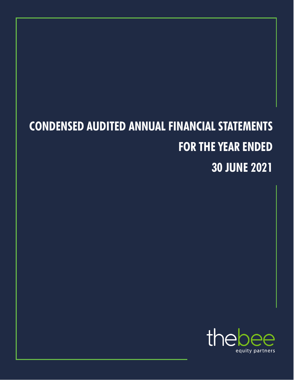# **CONDENSED AUDITED ANNUAL FINANCIAL STATEMENTS FOR THE YEAR ENDED 30 JUNE 2021**